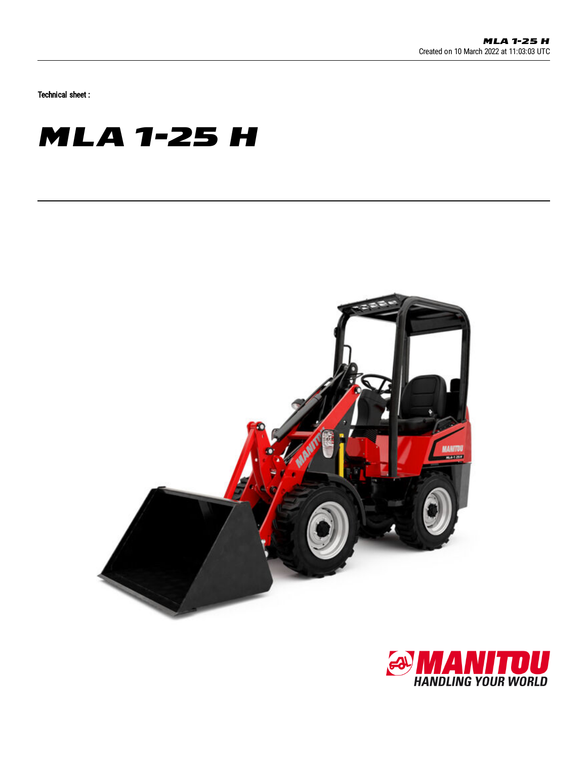Technical sheet :

## **MLA 1-25 H**



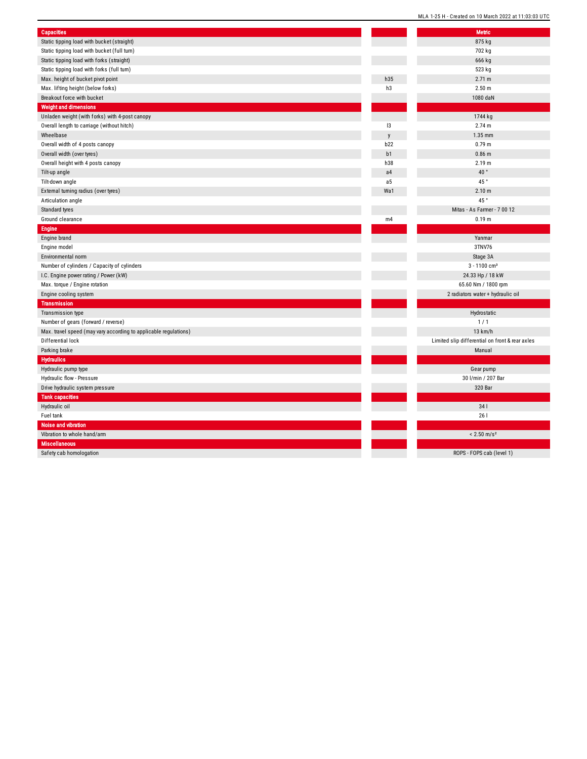| <b>Capacities</b>                                                |                | <b>Metric</b>                                   |
|------------------------------------------------------------------|----------------|-------------------------------------------------|
| Static tipping load with bucket (straight)                       |                | 875 kg                                          |
| Static tipping load with bucket (full turn)                      |                | 702 kg                                          |
| Static tipping load with forks (straight)                        |                | 666 kg                                          |
| Static tipping load with forks (full turn)                       |                | 523 kg                                          |
| Max. height of bucket pivot point                                | h35            | 2.71 m                                          |
| Max. lifting height (below forks)                                | h3             | 2.50 <sub>m</sub>                               |
| Breakout force with bucket                                       |                | 1080 daN                                        |
| <b>Weight and dimensions</b>                                     |                |                                                 |
| Unladen weight (with forks) with 4-post canopy                   |                | 1744 kg                                         |
| Overall length to carriage (without hitch)                       | 13             | 2.74 m                                          |
| Wheelbase                                                        | $\mathsf{v}$   | 1.35 mm                                         |
| Overall width of 4 posts canopy                                  | b22            | 0.79 <sub>m</sub>                               |
| Overall width (over tyres)                                       | b1             | 0.86 m                                          |
| Overall height with 4 posts canopy                               | h38            | 2.19 <sub>m</sub>                               |
| Tilt-up angle                                                    | a <sub>4</sub> | 40°                                             |
| Tilt-down angle                                                  | a5             | 45°                                             |
| External turning radius (over tyres)                             | Wa1            | 2.10 <sub>m</sub>                               |
| Articulation angle                                               |                | 45 °                                            |
| Standard tyres                                                   |                | Mitas - As Farmer - 7 00 12                     |
| Ground clearance                                                 | m4             | 0.19 <sub>m</sub>                               |
| <b>Engine</b>                                                    |                |                                                 |
| Engine brand                                                     |                | Yanmar                                          |
| Engine model                                                     |                | 3TNV76                                          |
| Environmental norm                                               |                | Stage 3A                                        |
| Number of cylinders / Capacity of cylinders                      |                | $3 - 1100$ cm <sup>3</sup>                      |
| I.C. Engine power rating / Power (kW)                            |                | 24.33 Hp / 18 kW                                |
| Max. torque / Engine rotation                                    |                | 65.60 Nm / 1800 rpm                             |
| Engine cooling system                                            |                | 2 radiators water + hydraulic oil               |
| <b>Transmission</b>                                              |                |                                                 |
| Transmission type                                                |                | Hydrostatic                                     |
| Number of gears (forward / reverse)                              |                | 1/1                                             |
| Max. travel speed (may vary according to applicable regulations) |                | 13 km/h                                         |
| Differential lock                                                |                | Limited slip differential on front & rear axles |
| Parking brake                                                    |                | Manual                                          |
| <b>Hydraulics</b>                                                |                |                                                 |
| Hydraulic pump type                                              |                | Gear pump                                       |
| Hydraulic flow - Pressure                                        |                | 30 l/min / 207 Bar                              |
| Drive hydraulic system pressure                                  |                | 320 Bar                                         |
| <b>Tank capacities</b>                                           |                |                                                 |
| Hydraulic oil                                                    |                | 341                                             |
| Fuel tank                                                        |                | 261                                             |
| Noise and vibration                                              |                |                                                 |
| Vibration to whole hand/arm                                      |                | $< 2.50$ m/s <sup>2</sup>                       |
| <b>Miscellaneous</b>                                             |                |                                                 |
| Cafabrack kamal                                                  |                | $DOPC = DDP + ab = (ba)(a + b)$                 |

S: a f e t y c a b h o m olo g: a tio n MLA 1-25 H - Created on 10 March 2022 at 11:03:03 UTC Metric

ROPS - FOPS cab (level 1)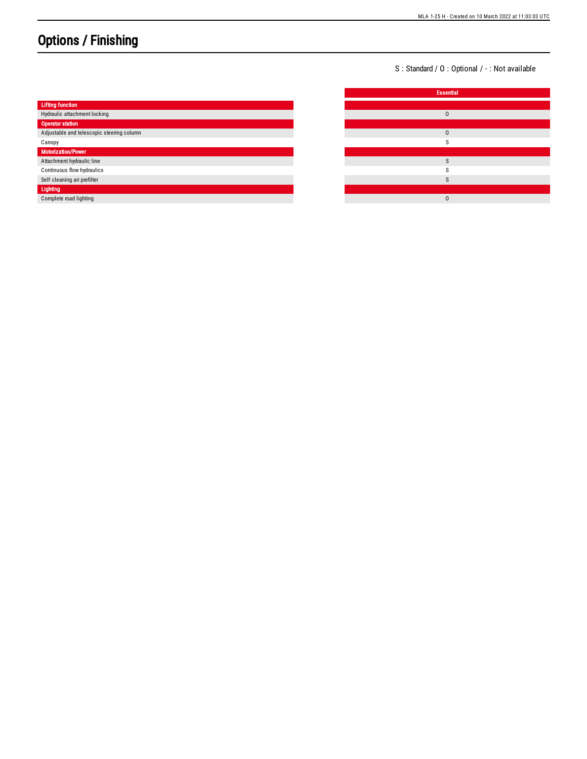## Options / Finishing

S: Standard / O: Optional / -: Not available

|                                           | <b>Essential</b> |
|-------------------------------------------|------------------|
| <b>Lifting function</b>                   |                  |
| Hydraulic attachment locking              | $\mathbf 0$      |
| <b>Operator station</b>                   |                  |
| Adjustable and telescopic steering column | $\mathbf 0$      |
| Canopy                                    |                  |
| <b>Motorization/Power</b>                 |                  |
| Attachment hydraulic line                 | $\sim$           |
| Continuous flow hydraulics                |                  |
| Self cleaning air prefilter               |                  |
| Lighting                                  |                  |
| Complete road lighting                    | $\mathbf 0$      |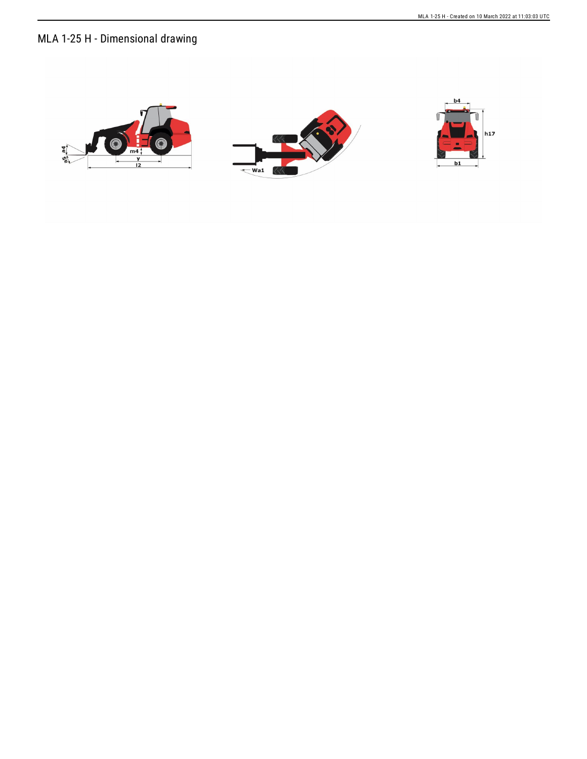## MLA 1-25 H - Dimensional drawing